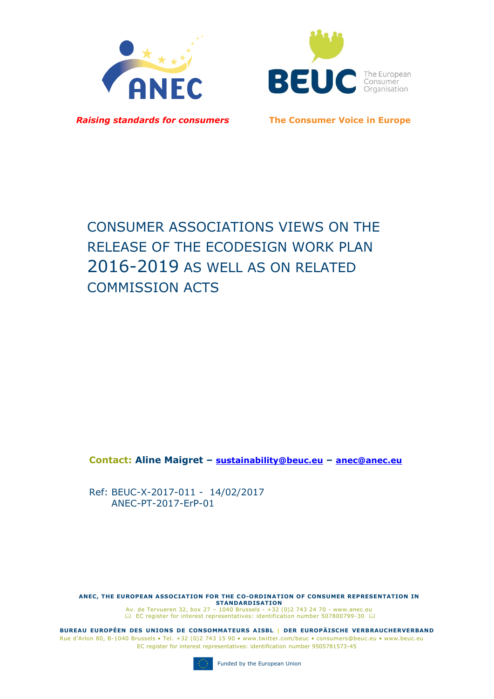



*Raising standards for consumers* **The Consumer Voice in Europe**

# CONSUMER ASSOCIATIONS VIEWS ON THE RELEASE OF THE ECODESIGN WORK PLAN 2016-2019 AS WELL AS ON RELATED COMMISSION ACTS

**Contact: Aline Maigret – sustainability@beuc.eu – anec@anec.eu**

Ref: BEUC-X-2017-011 - 14/02/2017 ANEC-PT-2017-ErP-01

**ANEC, THE EUROPEAN ASSOCIATION FOR THE CO-ORDINATION OF CONSUMER REPRESENTATION IN STANDARDISATION**<br>Av. de Tervueren 32, box 27 – 1040 Brussels - +32 (0)2 743 24 70 - [www.anec.eu](http://www.anec.eu/)<br>[EC register for interest representatives:](https://webgate.ec.europa.eu/transparency/regrin/welcome.do?locale=en#en) identification number 507800799-30 EL

**BUREAU EUROPÉEN DES UNIONS DE CONSOMMATEURS AISBL | DER EUROPÄISCHE VERBRAUCHERVERBAND** Rue d'Arlon 80, B-1040 Brussels • Tel. +32 (0)2 743 15 90 • www.twitter.com/beuc • consumers@beuc.eu • www.beuc.eu EC register for interest representatives: identification number 9505781573-45

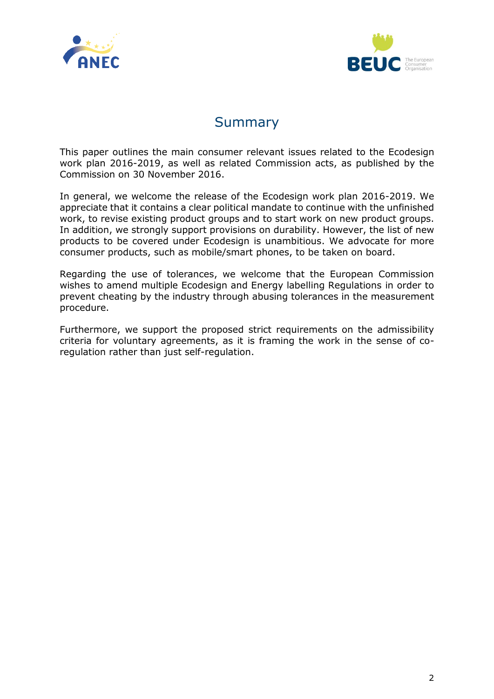



# Summary

This paper outlines the main consumer relevant issues related to the Ecodesign work plan 2016-2019, as well as related Commission acts, as published by the Commission on 30 November 2016.

In general, we welcome the release of the Ecodesign work plan 2016-2019. We appreciate that it contains a clear political mandate to continue with the unfinished work, to revise existing product groups and to start work on new product groups. In addition, we strongly support provisions on durability. However, the list of new products to be covered under Ecodesign is unambitious. We advocate for more consumer products, such as mobile/smart phones, to be taken on board.

Regarding the use of tolerances, we welcome that the European Commission wishes to amend multiple Ecodesign and Energy labelling Regulations in order to prevent cheating by the industry through abusing tolerances in the measurement procedure.

Furthermore, we support the proposed strict requirements on the admissibility criteria for voluntary agreements, as it is framing the work in the sense of coregulation rather than just self-regulation.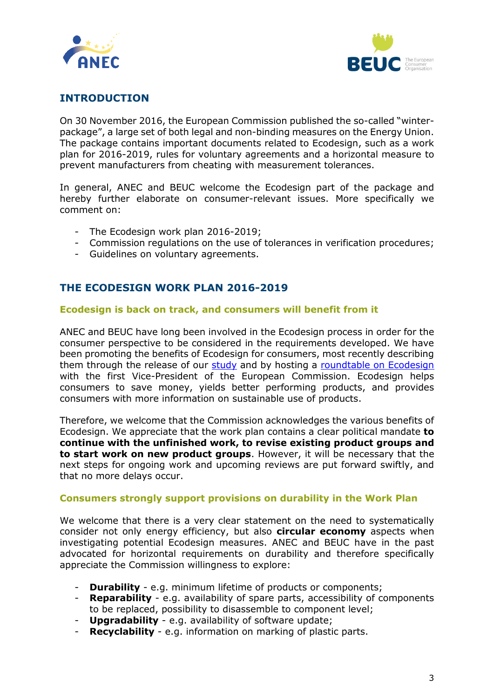



# **INTRODUCTION**

On 30 November 2016, the European Commission published the so-called "winterpackage", a large set of both legal and non-binding measures on the Energy Union. The package contains important documents related to Ecodesign, such as a work plan for 2016-2019, rules for voluntary agreements and a horizontal measure to prevent manufacturers from cheating with measurement tolerances.

In general, ANEC and BEUC welcome the Ecodesign part of the package and hereby further elaborate on consumer-relevant issues. More specifically we comment on:

- The Ecodesign work plan 2016-2019;
- Commission regulations on the use of tolerances in verification procedures;
- Guidelines on voluntary agreements.

# **THE ECODESIGN WORK PLAN 2016-2019**

#### **Ecodesign is back on track, and consumers will benefit from it**

ANEC and BEUC have long been involved in the Ecodesign process in order for the consumer perspective to be considered in the requirements developed. We have been promoting the benefits of Ecodesign for consumers, most recently describing them through the release of our [study](http://www.beuc.eu/press-media/news-events/new-study-ecodesign-helps-consumers-save-%E2%82%AC330-year) and by hosting a [roundtable on Ecodesign](http://www.beuc.eu/press-media/news-events/ecodesign-roundtable-eu-top-officials-beuc-office) with the first Vice-President of the European Commission. Ecodesign helps consumers to save money, yields better performing products, and provides consumers with more information on sustainable use of products.

Therefore, we welcome that the Commission acknowledges the various benefits of Ecodesign. We appreciate that the work plan contains a clear political mandate **to continue with the unfinished work, to revise existing product groups and to start work on new product groups**. However, it will be necessary that the next steps for ongoing work and upcoming reviews are put forward swiftly, and that no more delays occur.

#### **Consumers strongly support provisions on durability in the Work Plan**

We welcome that there is a very clear statement on the need to systematically consider not only energy efficiency, but also **circular economy** aspects when investigating potential Ecodesign measures. ANEC and BEUC have in the past advocated for horizontal requirements on durability and therefore specifically appreciate the Commission willingness to explore:

- **Durability** e.g. minimum lifetime of products or components;
- **Reparability** e.g. availability of spare parts, accessibility of components to be replaced, possibility to disassemble to component level;
- **Upgradability** e.g. availability of software update;
- **Recyclability** e.g. information on marking of plastic parts.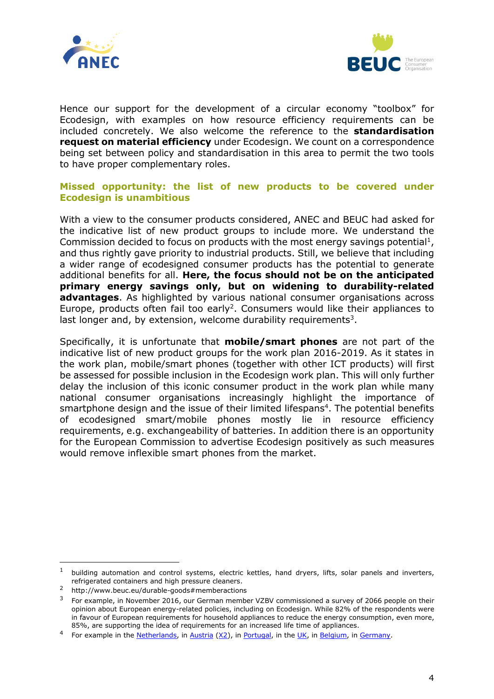



Hence our support for the development of a circular economy "toolbox" for Ecodesign, with examples on how resource efficiency requirements can be included concretely. We also welcome the reference to the **standardisation request on material efficiency** under Ecodesign. We count on a correspondence being set between policy and standardisation in this area to permit the two tools to have proper complementary roles.

#### **Missed opportunity: the list of new products to be covered under Ecodesign is unambitious**

With a view to the consumer products considered, ANEC and BEUC had asked for the indicative list of new product groups to include more. We understand the Commission decided to focus on products with the most energy savings potential $<sup>1</sup>$ ,</sup> and thus rightly gave priority to industrial products. Still, we believe that including a wider range of ecodesigned consumer products has the potential to generate additional benefits for all. **Here, the focus should not be on the anticipated primary energy savings only, but on widening to durability-related advantages**. As highlighted by various national consumer organisations across Europe, products often fail too early<sup>2</sup>. Consumers would like their appliances to last longer and, by extension, welcome durability requirements<sup>3</sup>.

Specifically, it is unfortunate that **mobile/smart phones** are not part of the indicative list of new product groups for the work plan 2016-2019. As it states in the work plan, mobile/smart phones (together with other ICT products) will first be assessed for possible inclusion in the Ecodesign work plan. This will only further delay the inclusion of this iconic consumer product in the work plan while many national consumer organisations increasingly highlight the importance of smartphone design and the issue of their limited lifespans<sup>4</sup>. The potential benefits of ecodesigned smart/mobile phones mostly lie in resource efficiency requirements, e.g. exchangeability of batteries. In addition there is an opportunity for the European Commission to advertise Ecodesign positively as such measures would remove inflexible smart phones from the market.

-

 $1$  building automation and control systems, electric kettles, hand dryers, lifts, solar panels and inverters, refrigerated containers and high pressure cleaners.

<sup>2</sup> http://www.beuc.eu/durable-goods#memberactions

 $3$  For example, in November 2016, our German member VZBV commissioned a survey of 2066 people on their opinion about European energy-related policies, including on Ecodesign. While 82% of the respondents were in favour of European requirements for household appliances to reduce the energy consumption, even more, 85%, are supporting the idea of requirements for an increased life time of appliances.

<sup>&</sup>lt;sup>4</sup> For example in the [Netherlands,](http://www.beuc.eu/documents/files/FC/durablegoods/articles/Consumentenbond-Factsheet-Action-Updating.pdf) i[n Austria](http://www.beuc.eu/documents/files/FC/durablegoods/articles/0515_AK_Austria.pdf) [\(X2\)](http://www.beuc.eu/documents/files/FC/durablegoods/articles/0813_VKI_Austria.pdf), in [Portugal,](http://www.beuc.eu/documents/files/FC/durablegoods/articles/1014_DECO_Portugal.pdf) in the [UK,](http://www.beuc.eu/documents/files/FC/durablegoods/articles/0614_Which_UK.pdf) in [Belgium,](http://www.beuc.eu/documents/files/FC/durablegoods/articles/1013_Test_Achats_Belgium.pdf) in [Germany.](http://www.beuc.eu/documents/files/FC/durablegoods/articles/0913_Stiftung_Warentest_Germany.pdf)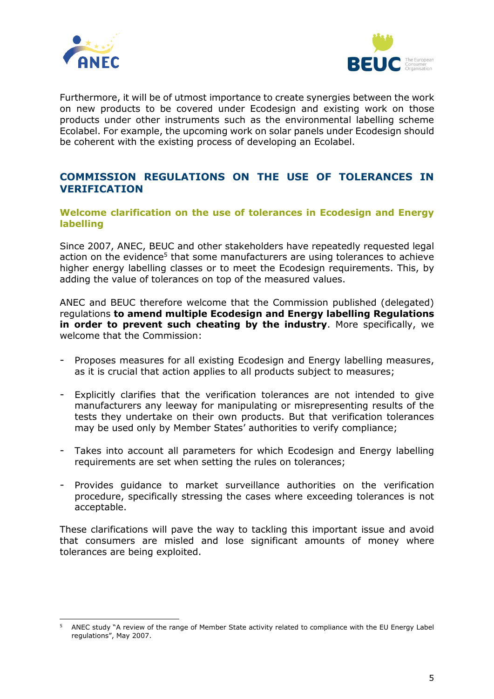



Furthermore, it will be of utmost importance to create synergies between the work on new products to be covered under Ecodesign and existing work on those products under other instruments such as the environmental labelling scheme Ecolabel. For example, the upcoming work on solar panels under Ecodesign should be coherent with the existing process of developing an Ecolabel.

# **COMMISSION REGULATIONS ON THE USE OF TOLERANCES IN VERIFICATION**

**Welcome clarification on the use of tolerances in Ecodesign and Energy labelling** 

Since 2007, ANEC, BEUC and other stakeholders have repeatedly requested legal action on the evidence<sup>5</sup> that some manufacturers are using tolerances to achieve higher energy labelling classes or to meet the Ecodesign requirements. This, by adding the value of tolerances on top of the measured values.

ANEC and BEUC therefore welcome that the Commission published (delegated) regulations **to amend multiple Ecodesign and Energy labelling Regulations in order to prevent such cheating by the industry**. More specifically, we welcome that the Commission:

- Proposes measures for all existing Ecodesign and Energy labelling measures, as it is crucial that action applies to all products subject to measures;
- Explicitly clarifies that the verification tolerances are not intended to give manufacturers any leeway for manipulating or misrepresenting results of the tests they undertake on their own products. But that verification tolerances may be used only by Member States' authorities to verify compliance;
- Takes into account all parameters for which Ecodesign and Energy labelling requirements are set when setting the rules on tolerances;
- Provides guidance to market surveillance authorities on the verification procedure, specifically stressing the cases where exceeding tolerances is not acceptable.

These clarifications will pave the way to tackling this important issue and avoid that consumers are misled and lose significant amounts of money where tolerances are being exploited.

<sup>-</sup><sup>5</sup> ANEC study "A review of the range of Member State activity related to compliance with the EU Energy Label regulations", May 2007.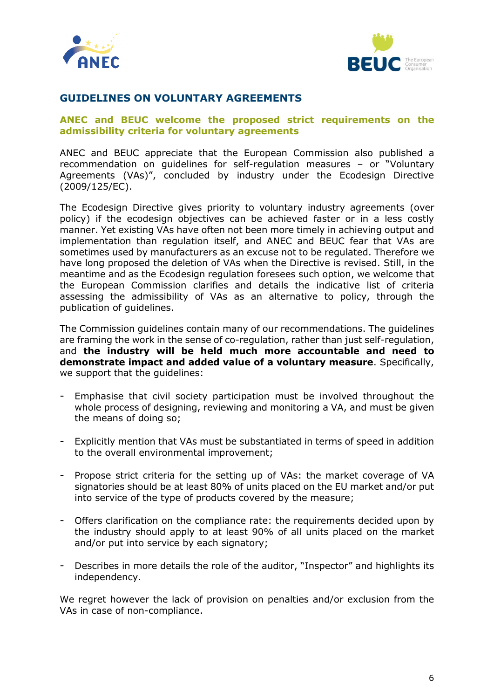



### **GUIDELINES ON VOLUNTARY AGREEMENTS**

#### **ANEC and BEUC welcome the proposed strict requirements on the admissibility criteria for voluntary agreements**

ANEC and BEUC appreciate that the European Commission also published a recommendation on guidelines for self-regulation measures – or "Voluntary Agreements (VAs)", concluded by industry under the Ecodesign Directive (2009/125/EC).

The Ecodesign Directive gives priority to voluntary industry agreements (over policy) if the ecodesign objectives can be achieved faster or in a less costly manner. Yet existing VAs have often not been more timely in achieving output and implementation than regulation itself, and ANEC and BEUC fear that VAs are sometimes used by manufacturers as an excuse not to be regulated. Therefore we have long proposed the deletion of VAs when the Directive is revised. Still, in the meantime and as the Ecodesign regulation foresees such option, we welcome that the European Commission clarifies and details the indicative list of criteria assessing the admissibility of VAs as an alternative to policy, through the publication of guidelines.

The Commission guidelines contain many of our recommendations. The guidelines are framing the work in the sense of co-regulation, rather than just self-regulation, and **the industry will be held much more accountable and need to demonstrate impact and added value of a voluntary measure**. Specifically, we support that the guidelines:

- Emphasise that civil society participation must be involved throughout the whole process of designing, reviewing and monitoring a VA, and must be given the means of doing so;
- Explicitly mention that VAs must be substantiated in terms of speed in addition to the overall environmental improvement;
- Propose strict criteria for the setting up of VAs: the market coverage of VA signatories should be at least 80% of units placed on the EU market and/or put into service of the type of products covered by the measure;
- Offers clarification on the compliance rate: the requirements decided upon by the industry should apply to at least 90% of all units placed on the market and/or put into service by each signatory;
- Describes in more details the role of the auditor, "Inspector" and highlights its independency.

We regret however the lack of provision on penalties and/or exclusion from the VAs in case of non-compliance.